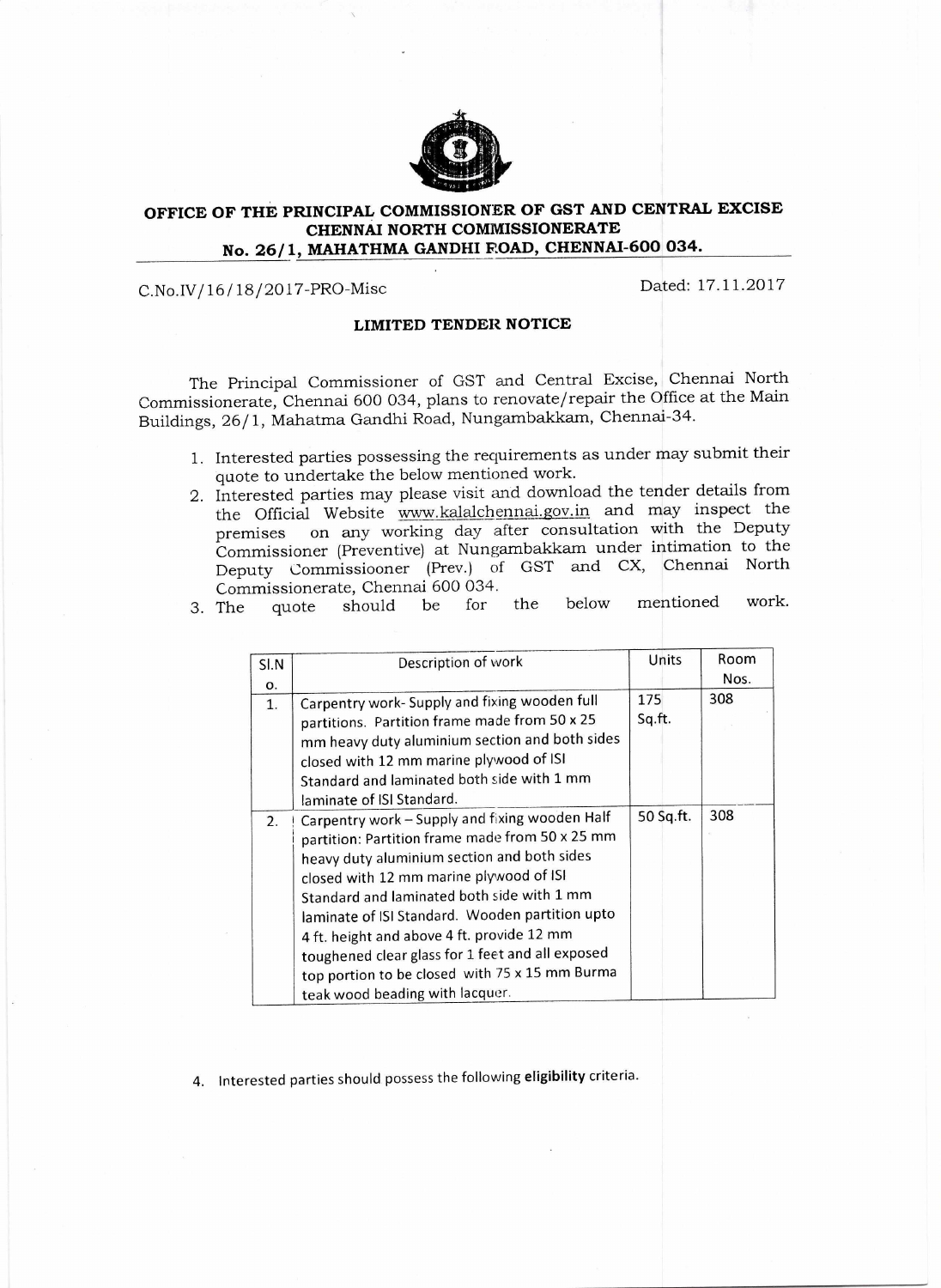

## **OFFICE OF THE PRINCIPAL COMMISSIONER OF GST AND CENTRAL EXCISE CHENNAI NORTH COMMISSIONERATE No. 26/1, MAHATHMA GANDHI ROAD, CHENNAI-600 034.**

## C.No.IV/16/18/2017-PRO-Misc Dated: 17.11.2017

## **LIMITED TENDER NOTICE**

The Principal Commissioner of GST and Central Excise, Chennai North Commissionerate, Chennai 600 034, plans to renovate/repair the Office at the Main Buildings, 26/1, Mahatma Gandhi Road, Nungambakkam, Chennai-34.

- 1. Interested parties possessing the requirements as under may submit their quote to undertake the below mentioned work.
- 2. Interested parties may please visit and download the tender details from the Official Website www.kalalchennai.gov.in and may inspect the premises on any working day after consultation with the Deputy Commissioner (Preventive) at Nungambakkam under intimation to the Deputy Commissiooner (Prey.) of GST and CX, Chennai North
- Commissionerate, Chennai 600 034. 3. The quote should be for the below mentioned work.

| SI.N | Description of work                              | Units     | Room |
|------|--------------------------------------------------|-----------|------|
| Ο.   |                                                  |           | Nos. |
| 1.   | Carpentry work- Supply and fixing wooden full    | 175       | 308  |
|      | partitions. Partition frame made from 50 x 25    | Sq.ft.    |      |
|      | mm heavy duty aluminium section and both sides   |           |      |
|      | closed with 12 mm marine plywood of ISI          |           |      |
|      | Standard and laminated both side with 1 mm       |           |      |
|      | laminate of ISI Standard.                        |           |      |
| 2.   | Carpentry work - Supply and fixing wooden Half   | 50 Sq.ft. | 308  |
|      | partition: Partition frame made from 50 x 25 mm  |           |      |
|      | heavy duty aluminium section and both sides      |           |      |
|      | closed with 12 mm marine plywood of ISI          |           |      |
|      | Standard and laminated both side with 1 mm       |           |      |
|      | laminate of ISI Standard. Wooden partition upto  |           |      |
|      | 4 ft. height and above 4 ft. provide 12 mm       |           |      |
|      | toughened clear glass for 1 feet and all exposed |           |      |
|      | top portion to be closed with 75 x 15 mm Burma   |           |      |
|      | teak wood beading with lacquer.                  |           |      |

4. Interested parties should possess the following **eligibility** criteria.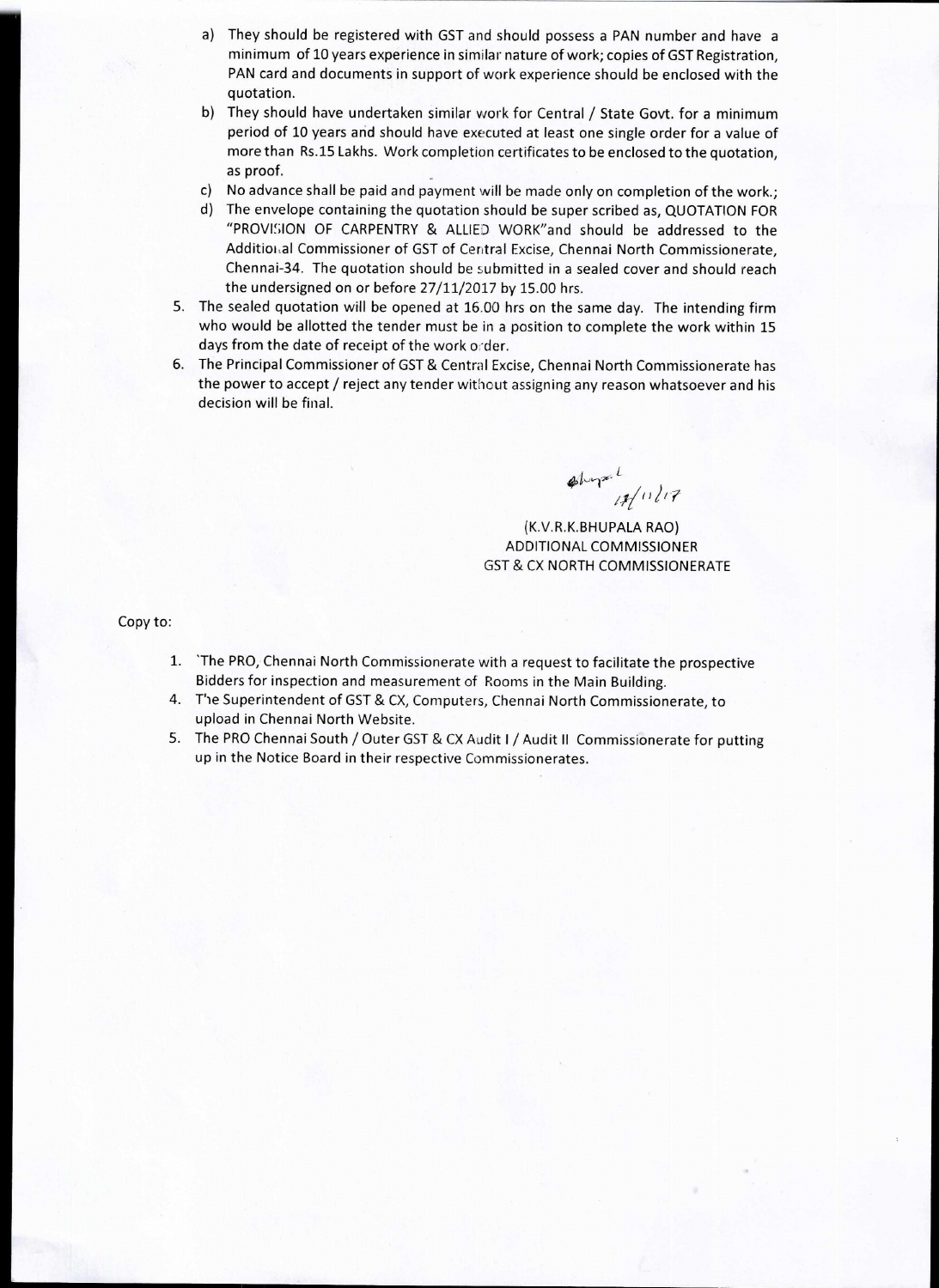- a) They should be registered with GST and should possess a PAN number and have a minimum of 10 years experience in similar nature of work; copies of GST Registration, PAN card and documents in support of work experience should be enclosed with the quotation.
- b) They should have undertaken similar work for Central / State Govt. for a minimum period of 10 years and should have executed at least one single order for a value of more than Rs.15 Lakhs. Work completion certificates to be enclosed to the quotation, as proof.
- c) No advance shall be paid and payment will be made only on completion of the work.;
- d) The envelope containing the quotation should be super scribed as, QUOTATION FOR "PROVISION OF CARPENTRY & ALLIED WORK"and should be addressed to the Additioi,a1 Commissioner of GST of Central Excise, Chennai North Commissionerate, Chennai-34. The quotation should be submitted in a sealed cover and should reach the undersigned on or before 27/11/2017 by 15.00 hrs.
- 5. The sealed quotation will be opened at 16.00 hrs on the same day. The intending firm who would be allotted the tender must be in a position to complete the work within 15 days from the date of receipt of the work order.
- 6. The Principal Commissioner of GST & Central Excise, Chennai North Commissionerate has the power to accept / reject any tender without assigning any reason whatsoever and his decision will be final.

 $ab$  yx  $\frac{1}{4}$  11/17

(K.V.R.K.BHUPALA RAO) ADDITIONAL COMMISSIONER GST & CX NORTH COMMISSIONERATE

Copy to:

- 1. 'The PRO, Chennai North Commissionerate with a request to facilitate the prospective Bidders for inspection and measurement of Rooms in the Main Building.
- 4. Tie Superintendent of GST & CX, Computers, Chennai North Commissionerate, to upload in Chennai North Website.
- 5. The PRO Chennai South / Outer GST & CX Audit I / Audit II Commissionerate for putting up in the Notice Board in their respective Commissionerates.